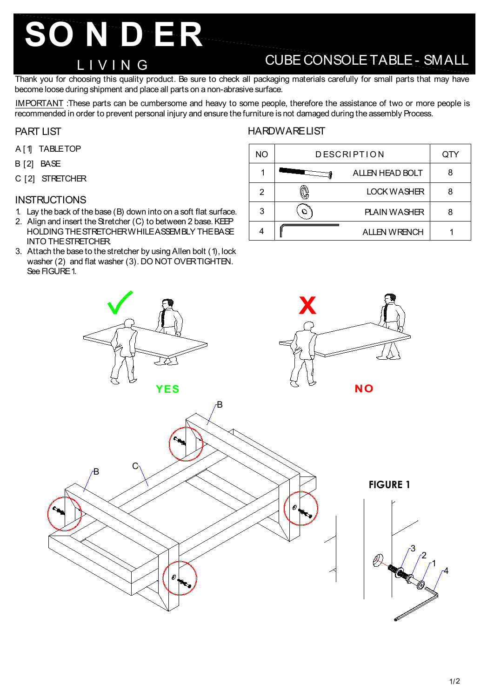# **SO N D ER**

### L I V I N G

## CUBE CONSOLE TABLE - SMALL

Thank you for choosing this quality product. Be sure to check all packaging materials carefully for small parts that may have become loose during shipment and place all parts on a non-abrasive surface.

IMPORTANT :These parts can be cumbersome and heavy to some people, therefore the assistance of two or more people is recommended in order to prevent personal injury and ensure the furniture is not damaged during the assembly Process.

#### PART LIST

- A [1] TABLE TOP
- B [2] BASE
- C [2] STRETCHER

#### **INSTRUCTIONS**

- 1. Lay the back of the base (B) down into on a soft flat surface.
- 2. Align and insert the Stretcher (C) to between 2 base. KEP HOLDING THE STRETCHER WHILE ASSEMBLY THE BASE INTO THE STRETCHER.
- 3. Attach the base to the stretcher by using Allen bolt (1), lock washer (2) and flat washer (3). DO NOT OVER TIGHTEN. See FIGURE 1.

#### **HARDWARE LIST**

| <b>NO</b> | <b>DESCRIPTION</b> |                        | QTY |
|-----------|--------------------|------------------------|-----|
| 1         |                    | <b>ALLEN HEAD BOLT</b> |     |
| 2         |                    | LOCK WASHER            |     |
| 3         |                    | <b>PLAIN WASHER</b>    |     |
|           |                    | <b>ALLEN WRENCH</b>    |     |



4